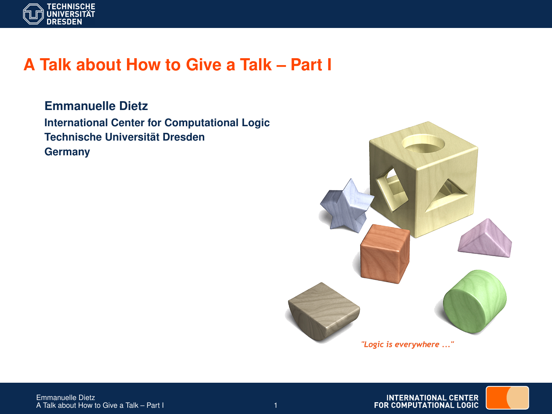

# **A Talk about How to Give a Talk – Part I**

**Emmanuelle Dietz International Center for Computational Logic Technische Universität Dresden Germany**

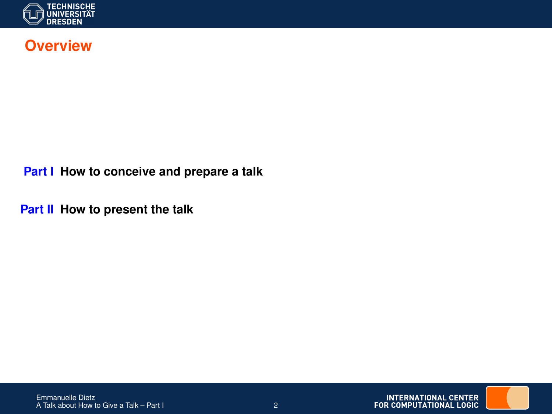

#### **Overview**

**Part I How to conceive and prepare a talk**

**Part II How to present the talk**

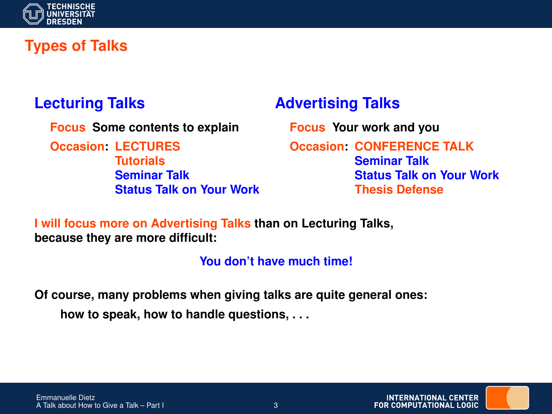

# **Types of Talks**

### **Lecturing Talks**

**Focus Some contents to explain**

**Occasion: LECTURES Tutorials Seminar Talk Status Talk on Your Work**

### **Advertising Talks**

**Focus Your work and you Occasion: CONFERENCE TALK Seminar Talk Status Talk on Your Work Thesis Defense**

**I will focus more on Advertising Talks than on Lecturing Talks, because they are more difficult:**

**You don't have much time!**

**Of course, many problems when giving talks are quite general ones: how to speak, how to handle questions, . . .**

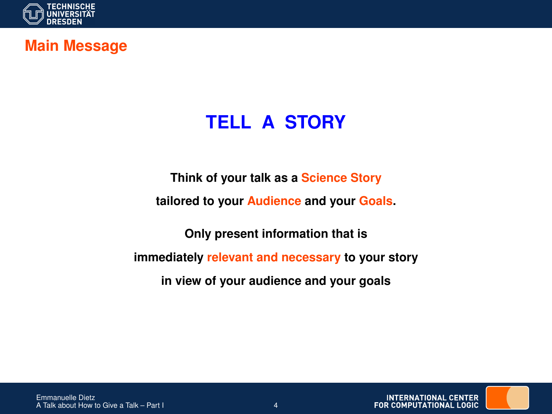

#### **Main Message**

# **TELL A STORY**

**Think of your talk as a Science Story**

**tailored to your Audience and your Goals.**

**Only present information that is immediately relevant and necessary to your story in view of your audience and your goals**



**INTERNATIONAL CENTER** FOR COMPUTATIONAL LOGIC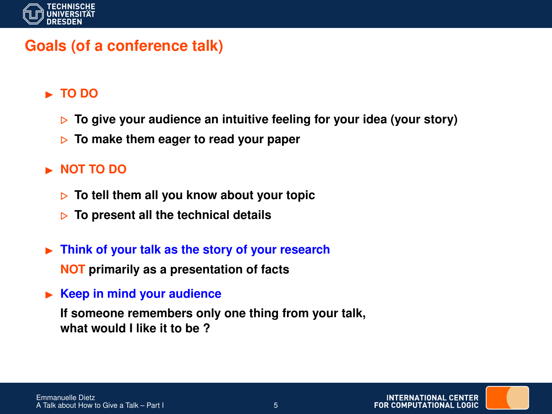

## **Goals (of a conference talk)**

#### ■ TO DO

- **▶ To give your audience an intuitive feeling for your idea (your story)**
- . **To make them eager to read your paper**

#### **NOT TO DO**

- . **To tell them all you know about your topic**
- . **To present all the technical details**
- **Fig. 3** Think of your talk as the story of your research **NOT primarily as a presentation of facts**
- ► Keep in mind your audience

**If someone remembers only one thing from your talk, what would I like it to be ?**

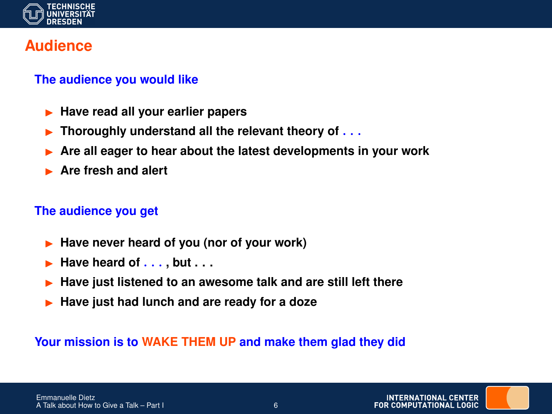

#### **Audience**

#### **The audience you would like**

- I **Have read all your earlier papers**
- I **Thoroughly understand all the relevant theory of** . . .
- I **Are all eager to hear about the latest developments in your work**
- **Are fresh and alert**

#### **The audience you get**

- Have never heard of you (nor of your work)
- I **Have heard of** . . . **, but . . .**
- I **Have just listened to an awesome talk and are still left there**
- Have just had lunch and are ready for a doze

#### **Your mission is to WAKE THEM UP and make them glad they did**

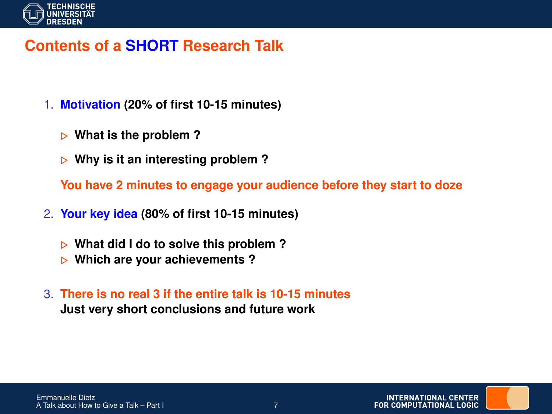

## **Contents of a SHORT Research Talk**

- 1. **Motivation (20% of first 10-15 minutes)**
	- . **What is the problem ?**
	- . **Why is it an interesting problem ?**

**You have 2 minutes to engage your audience before they start to doze**

- 2. **Your key idea (80% of first 10-15 minutes)**
	- . **What did I do to solve this problem ?**
	- . **Which are your achievements ?**
- 3. **There is no real 3 if the entire talk is 10-15 minutes Just very short conclusions and future work**

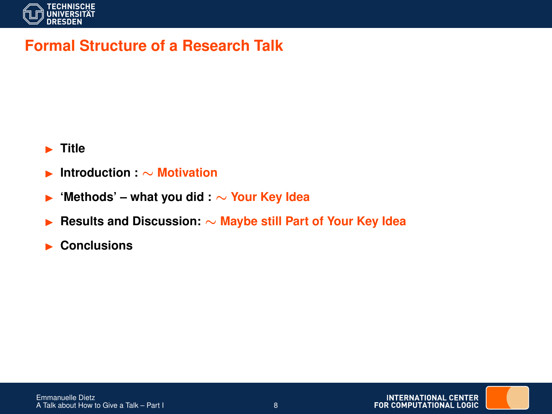

### **Formal Structure of a Research Talk**

#### **F** Title

- I **Introduction :** ∼ **Motivation**
- I **'Methods' what you did :** ∼ **Your Key Idea**
- I **Results and Discussion:** ∼ **Maybe still Part of Your Key Idea**
- **EXECUTE:** Conclusions

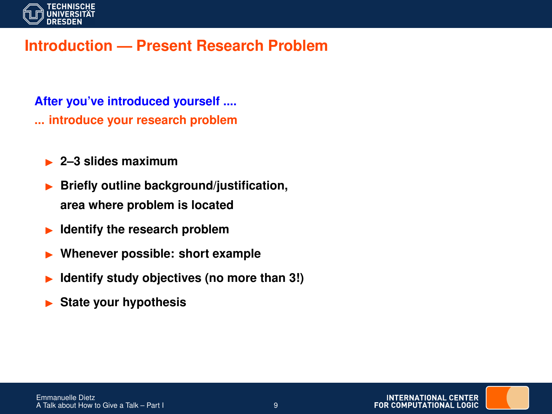

### **Introduction — Present Research Problem**

**After you've introduced yourself .... ... introduce your research problem**

- ► 2–3 slides maximum
- I **Briefly outline background/justification, area where problem is located**
- **Identify the research problem**
- I **Whenever possible: short example**
- **Identify study objectives (no more than 3!)**
- **State your hypothesis**

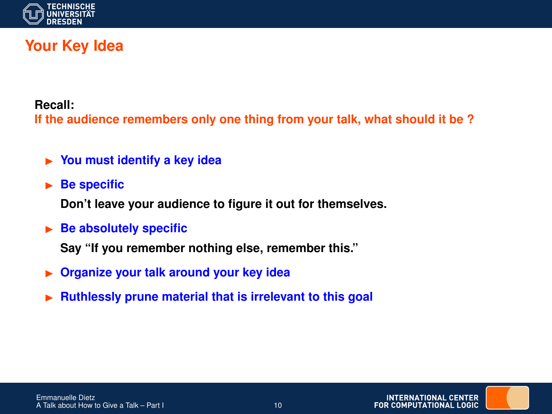

# **Your Key Idea**

**Recall:**

**If the audience remembers only one thing from your talk, what should it be ?**

- **In You must identify a key idea**
- **Be specific**

**Don't leave your audience to figure it out for themselves.**

**Be absolutely specific** 

**Say "If you remember nothing else, remember this."**

- $\triangleright$  **Organize your talk around your key idea**
- I **Ruthlessly prune material that is irrelevant to this goal**

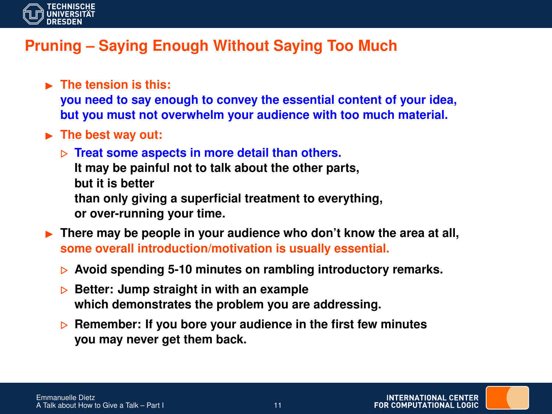

# **Pruning – Saying Enough Without Saying Too Much**

- **EXECUTE:** The tension is this: **you need to say enough to convey the essential content of your idea, but you must not overwhelm your audience with too much material.**
- ► The best way out:
	- . **Treat some aspects in more detail than others.**
		- **It may be painful not to talk about the other parts, but it is better**
		-
		- **than only giving a superficial treatment to everything, or over-running your time.**
- **Figure 1.1 There may be people in your audience who don't know the area at all, some overall introduction/motivation is usually essential.**
	- . **Avoid spending 5-10 minutes on rambling introductory remarks.**
	- **▶ Better: Jump straight in with an example which demonstrates the problem you are addressing.**
	- **▶ Remember: If you bore your audience in the first few minutes you may never get them back.**

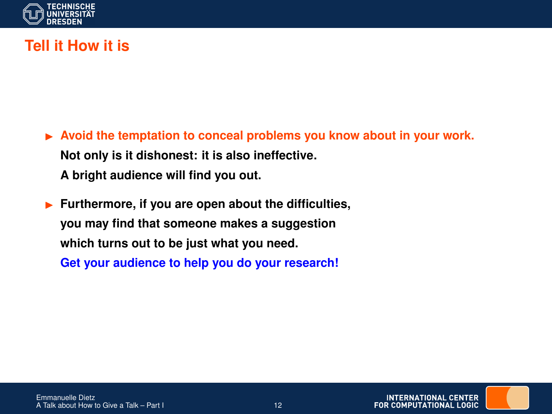

# **Tell it How it is**

- ▶ Avoid the temptation to conceal problems you know about in your work. **Not only is it dishonest: it is also ineffective. A bright audience will find you out.**
- I **Furthermore, if you are open about the difficulties, you may find that someone makes a suggestion which turns out to be just what you need. Get your audience to help you do your research!**

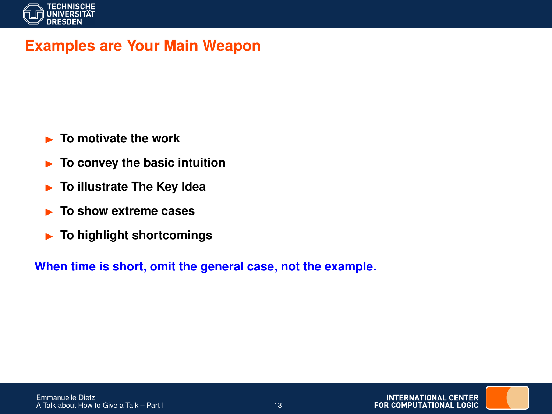

### **Examples are Your Main Weapon**

- **Example 15 To motivate the work**
- ► To convey the basic intuition
- **Fo illustrate The Key Idea**
- **In To show extreme cases**
- **For highlight shortcomings**

**When time is short, omit the general case, not the example.**

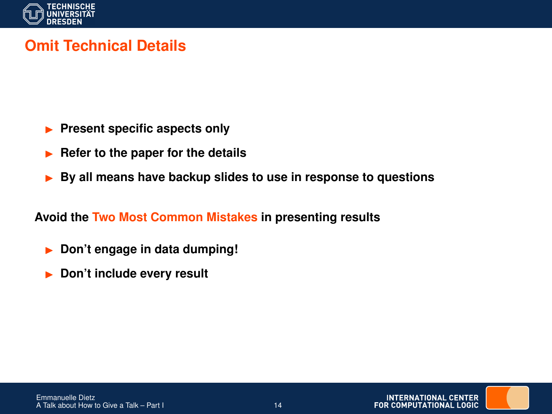

# **Omit Technical Details**

- **Present specific aspects only**
- **In Refer to the paper for the details**
- ▶ By all means have backup slides to use in response to questions

#### **Avoid the Two Most Common Mistakes in presenting results**

- **Don't engage in data dumping!**
- Don't include every result

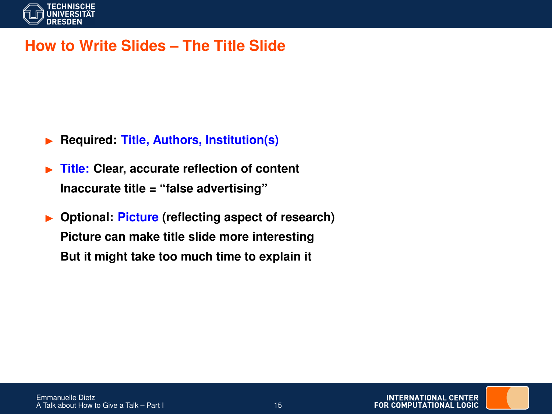

### **How to Write Slides – The Title Slide**

- I **Required: Title, Authors, Institution(s)**
- ▶ Title: Clear, accurate reflection of content **Inaccurate title = "false advertising"**
- I **Optional: Picture (reflecting aspect of research) Picture can make title slide more interesting But it might take too much time to explain it**

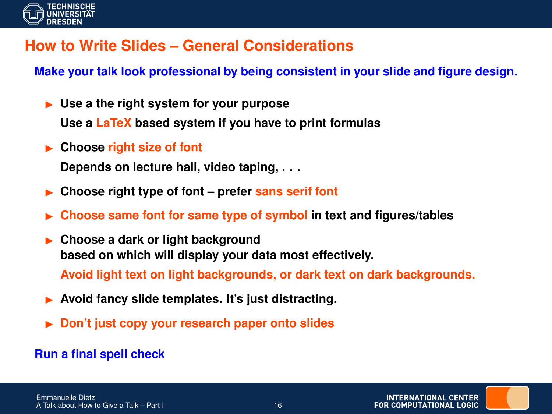

# **How to Write Slides – General Considerations**

**Make your talk look professional by being consistent in your slide and figure design.**

**In Use a the right system for your purpose** 

**Use a LaTeX based system if you have to print formulas**

► Choose right size of font

**Depends on lecture hall, video taping, . . .**

- I **Choose right type of font prefer sans serif font**
- I **Choose same font for same type of symbol in text and figures/tables**
- I **Choose a dark or light background based on which will display your data most effectively.**

**Avoid light text on light backgrounds, or dark text on dark backgrounds.**

- Avoid fancy slide templates. It's just distracting.
- I **Don't just copy your research paper onto slides**

#### **Run a final spell check**

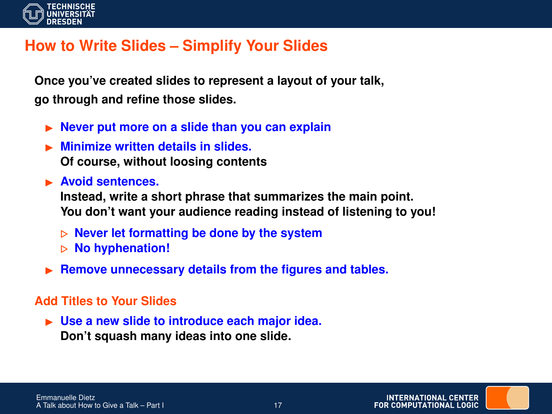

## **How to Write Slides – Simplify Your Slides**

**Once you've created slides to represent a layout of your talk, go through and refine those slides.**

- **ID Never put more on a slide than you can explain**
- I **Minimize written details in slides. Of course, without loosing contents**
- **EXECUTE:** Avoid sentences.

**Instead, write a short phrase that summarizes the main point. You don't want your audience reading instead of listening to you!**

- . **Never let formatting be done by the system**
- . **No hyphenation!**
- **Remove unnecessary details from the figures and tables.**

#### **Add Titles to Your Slides**

► Use a new slide to introduce each major idea. **Don't squash many ideas into one slide.**

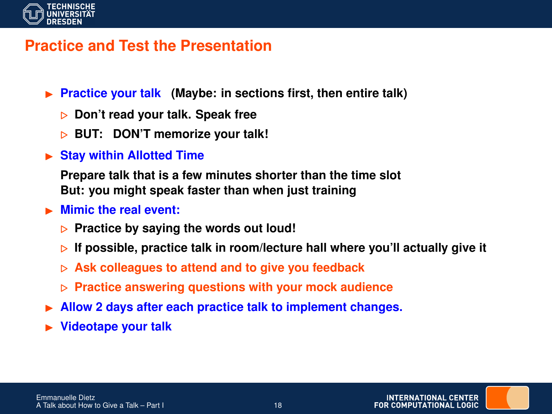

#### **Practice and Test the Presentation**

- ▶ **Practice your talk** (Maybe: in sections first, then entire talk)
	- . **Don't read your talk. Speak free**
	- . **BUT: DON'T memorize your talk!**
- **In Stay within Allotted Time**

**Prepare talk that is a few minutes shorter than the time slot But: you might speak faster than when just training**

#### **In Mimic the real event:**

- **Practice by saying the words out loud!**
- $\triangleright$  If possible, practice talk in room/lecture hall where you'll actually give it
- . **Ask colleagues to attend and to give you feedback**
- . **Practice answering questions with your mock audience**
- I **Allow 2 days after each practice talk to implement changes.**
- I **Videotape your talk**